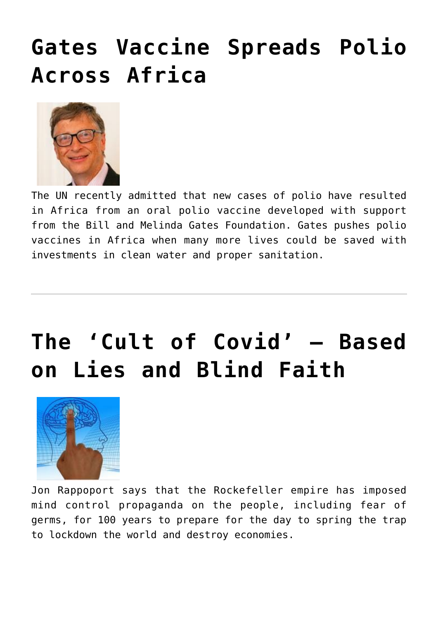### **[Gates Vaccine Spreads Polio](https://needtoknow.news/2020/10/gates-vaccine-spreads-polio-across-africa/) [Across Africa](https://needtoknow.news/2020/10/gates-vaccine-spreads-polio-across-africa/)**



The UN recently admitted that new cases of polio have resulted in Africa from an oral polio vaccine developed with support from the Bill and Melinda Gates Foundation. Gates pushes polio vaccines in Africa when many more lives could be saved with investments in clean water and proper sanitation.

## **[The 'Cult of Covid' – Based](https://needtoknow.news/2020/10/the-cult-of-covid-based-on-lies-and-blind-faith/) [on Lies and Blind Faith](https://needtoknow.news/2020/10/the-cult-of-covid-based-on-lies-and-blind-faith/)**



Jon Rappoport says that the Rockefeller empire has imposed mind control propaganda on the people, including fear of germs, for 100 years to prepare for the day to spring the trap to lockdown the world and destroy economies.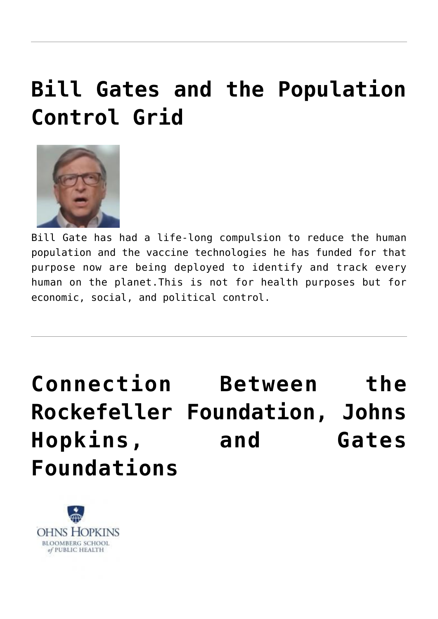### **[Bill Gates and the Population](https://needtoknow.news/2020/05/bill-gates-and-the-population-control-grid/) [Control Grid](https://needtoknow.news/2020/05/bill-gates-and-the-population-control-grid/)**



Bill Gate has had a life-long compulsion to reduce the human population and the vaccine technologies he has funded for that purpose now are being deployed to identify and track every human on the planet.This is not for health purposes but for economic, social, and political control.

**[Connection Between the](https://needtoknow.news/2020/03/need-to-know-connection-between-the-rockefeller-foundation-johns-hopkins-university-and-the-bill-and-melinda-gates-foundation/) [Rockefeller Foundation, Johns](https://needtoknow.news/2020/03/need-to-know-connection-between-the-rockefeller-foundation-johns-hopkins-university-and-the-bill-and-melinda-gates-foundation/) [Hopkins, and Gates](https://needtoknow.news/2020/03/need-to-know-connection-between-the-rockefeller-foundation-johns-hopkins-university-and-the-bill-and-melinda-gates-foundation/) [Foundations](https://needtoknow.news/2020/03/need-to-know-connection-between-the-rockefeller-foundation-johns-hopkins-university-and-the-bill-and-melinda-gates-foundation/)**

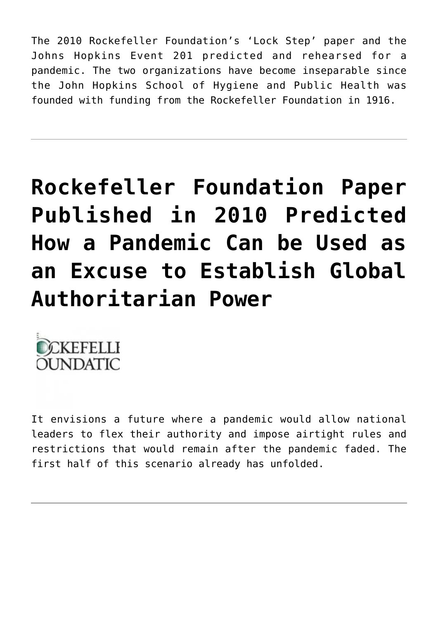The 2010 Rockefeller Foundation's 'Lock Step' paper and the Johns Hopkins Event 201 predicted and rehearsed for a pandemic. The two organizations have become inseparable since the John Hopkins School of Hygiene and Public Health was founded with funding from the Rockefeller Foundation in 1916.

# **[Rockefeller Foundation Paper](https://needtoknow.news/2020/03/rockefeller-foundation-paper-published-in-2010-predicted-how-a-pandemic-can-be-used-as-an-excuse-to-establish-global-authoritarian-power/) [Published in 2010 Predicted](https://needtoknow.news/2020/03/rockefeller-foundation-paper-published-in-2010-predicted-how-a-pandemic-can-be-used-as-an-excuse-to-establish-global-authoritarian-power/) [How a Pandemic Can be Used as](https://needtoknow.news/2020/03/rockefeller-foundation-paper-published-in-2010-predicted-how-a-pandemic-can-be-used-as-an-excuse-to-establish-global-authoritarian-power/) [an Excuse to Establish Global](https://needtoknow.news/2020/03/rockefeller-foundation-paper-published-in-2010-predicted-how-a-pandemic-can-be-used-as-an-excuse-to-establish-global-authoritarian-power/) [Authoritarian Power](https://needtoknow.news/2020/03/rockefeller-foundation-paper-published-in-2010-predicted-how-a-pandemic-can-be-used-as-an-excuse-to-establish-global-authoritarian-power/)**



It envisions a future where a pandemic would allow national leaders to flex their authority and impose airtight rules and restrictions that would remain after the pandemic faded. The first half of this scenario already has unfolded.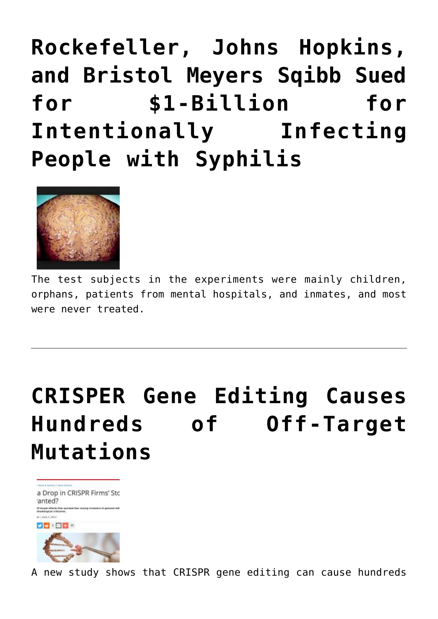**[Rockefeller, Johns Hopkins,](https://needtoknow.news/2019/02/rockefeller-johns-hopkins-and-bristol-meyers-sqibb-sued-for-1-billion-for-intentionally-infecting-people-with-syphilis/) [and Bristol Meyers Sqibb Sued](https://needtoknow.news/2019/02/rockefeller-johns-hopkins-and-bristol-meyers-sqibb-sued-for-1-billion-for-intentionally-infecting-people-with-syphilis/) [for \\$1-Billion for](https://needtoknow.news/2019/02/rockefeller-johns-hopkins-and-bristol-meyers-sqibb-sued-for-1-billion-for-intentionally-infecting-people-with-syphilis/) [Intentionally Infecting](https://needtoknow.news/2019/02/rockefeller-johns-hopkins-and-bristol-meyers-sqibb-sued-for-1-billion-for-intentionally-infecting-people-with-syphilis/) [People with Syphilis](https://needtoknow.news/2019/02/rockefeller-johns-hopkins-and-bristol-meyers-sqibb-sued-for-1-billion-for-intentionally-infecting-people-with-syphilis/)**



The test subjects in the experiments were mainly children, orphans, patients from mental hospitals, and inmates, and most were never treated.

# **[CRISPER Gene Editing Causes](https://needtoknow.news/2017/06/2086/) [Hundreds of Off-Target](https://needtoknow.news/2017/06/2086/) [Mutations](https://needtoknow.news/2017/06/2086/)**



A new study shows that CRISPR gene editing can cause hundreds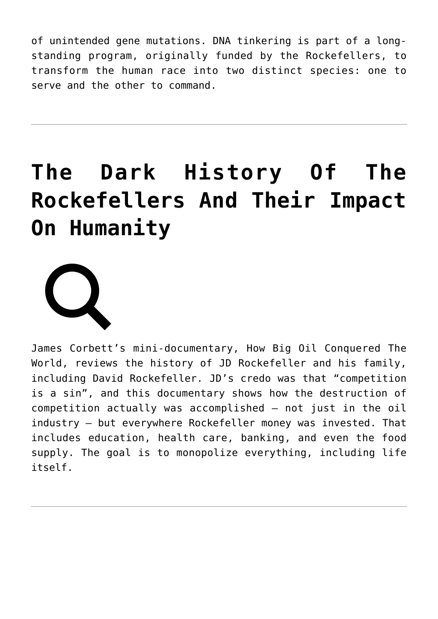of unintended gene mutations. DNA tinkering is part of a longstanding program, originally funded by the Rockefellers, to transform the human race into two distinct species: one to serve and the other to command.

# **[The Dark History Of The](https://needtoknow.news/2017/03/the-dreadful-history-of-the-rockefellers-and-their-curse-on-humanity/) [Rockefellers And Their Impact](https://needtoknow.news/2017/03/the-dreadful-history-of-the-rockefellers-and-their-curse-on-humanity/) [On Humanity](https://needtoknow.news/2017/03/the-dreadful-history-of-the-rockefellers-and-their-curse-on-humanity/)**



James Corbett's mini-documentary, How Big Oil Conquered The World, reviews the history of JD Rockefeller and his family, including David Rockefeller. JD's credo was that "competition is a sin", and this documentary shows how the destruction of competition actually was accomplished – not just in the oil industry – but everywhere Rockefeller money was invested. That includes education, health care, banking, and even the food supply. The goal is to monopolize everything, including life itself.